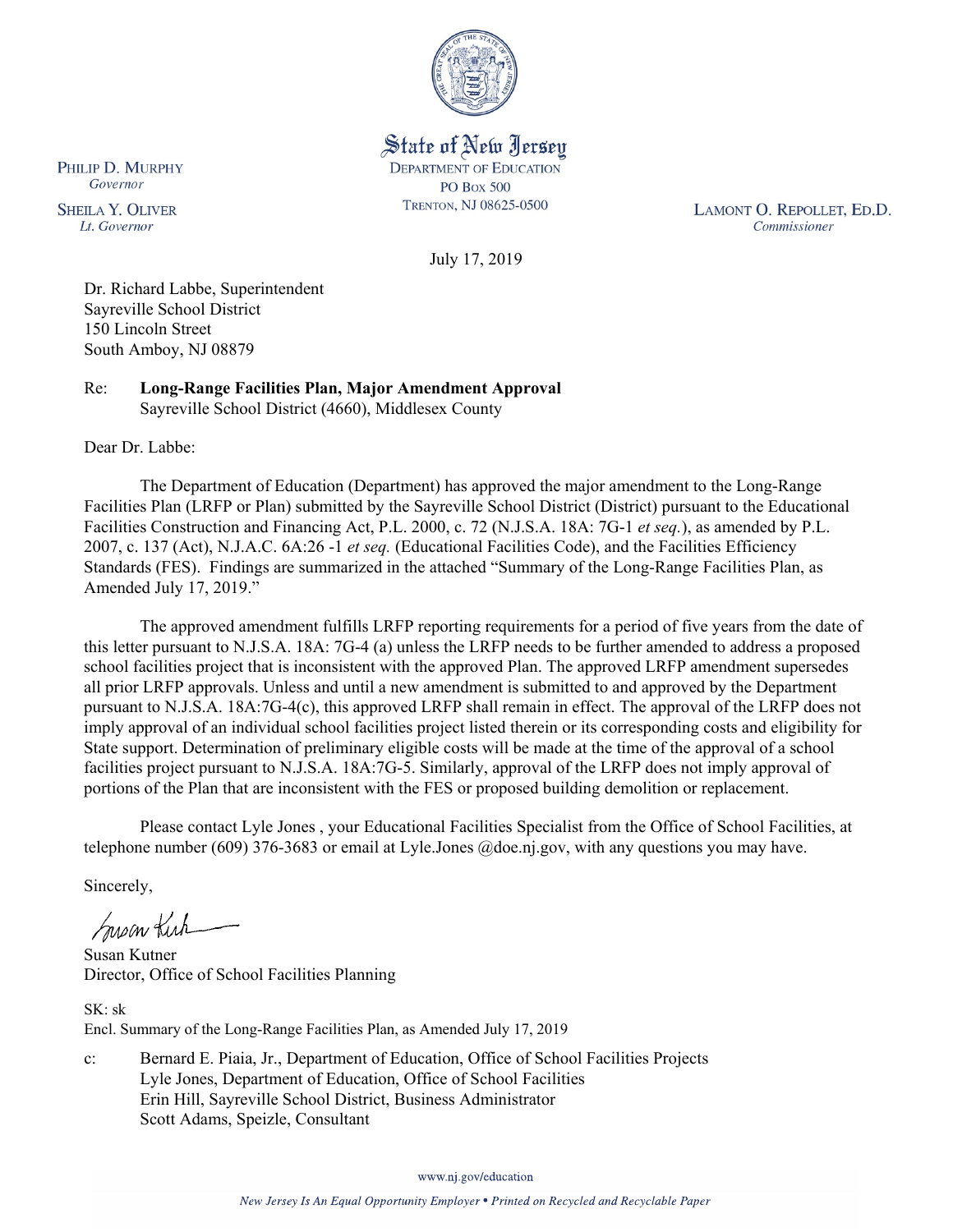

State of New Jersey **DEPARTMENT OF EDUCATION PO Box 500** TRENTON, NJ 08625-0500

LAMONT O. REPOLLET, ED.D. Commissioner

July 17, 2019

Dr. Richard Labbe, Superintendent Sayreville School District 150 Lincoln Street South Amboy, NJ 08879

Re: **Long-Range Facilities Plan, Major Amendment Approval** Sayreville School District (4660), Middlesex County

Dear Dr. Labbe:

The Department of Education (Department) has approved the major amendment to the Long-Range Facilities Plan (LRFP or Plan) submitted by the Sayreville School District (District) pursuant to the Educational Facilities Construction and Financing Act, P.L. 2000, c. 72 (N.J.S.A. 18A: 7G-1 *et seq.*), as amended by P.L. 2007, c. 137 (Act), N.J.A.C. 6A:26 -1 *et seq.* (Educational Facilities Code), and the Facilities Efficiency Standards (FES). Findings are summarized in the attached "Summary of the Long-Range Facilities Plan, as Amended July 17, 2019."

The approved amendment fulfills LRFP reporting requirements for a period of five years from the date of this letter pursuant to N.J.S.A. 18A: 7G-4 (a) unless the LRFP needs to be further amended to address a proposed school facilities project that is inconsistent with the approved Plan. The approved LRFP amendment supersedes all prior LRFP approvals. Unless and until a new amendment is submitted to and approved by the Department pursuant to N.J.S.A. 18A:7G-4(c), this approved LRFP shall remain in effect. The approval of the LRFP does not imply approval of an individual school facilities project listed therein or its corresponding costs and eligibility for State support. Determination of preliminary eligible costs will be made at the time of the approval of a school facilities project pursuant to N.J.S.A. 18A:7G-5. Similarly, approval of the LRFP does not imply approval of portions of the Plan that are inconsistent with the FES or proposed building demolition or replacement.

Please contact Lyle Jones , your Educational Facilities Specialist from the Office of School Facilities, at telephone number (609) 376-3683 or email at Lyle.Jones @doe.nj.gov, with any questions you may have.

Sincerely,

Susan Kirk

Susan Kutner Director, Office of School Facilities Planning

SK: sk Encl. Summary of the Long-Range Facilities Plan, as Amended July 17, 2019

c: Bernard E. Piaia, Jr., Department of Education, Office of School Facilities Projects Lyle Jones, Department of Education, Office of School Facilities Erin Hill, Sayreville School District, Business Administrator Scott Adams, Speizle, Consultant

www.nj.gov/education

PHILIP D. MURPHY Governor

**SHEILA Y. OLIVER** Lt. Governor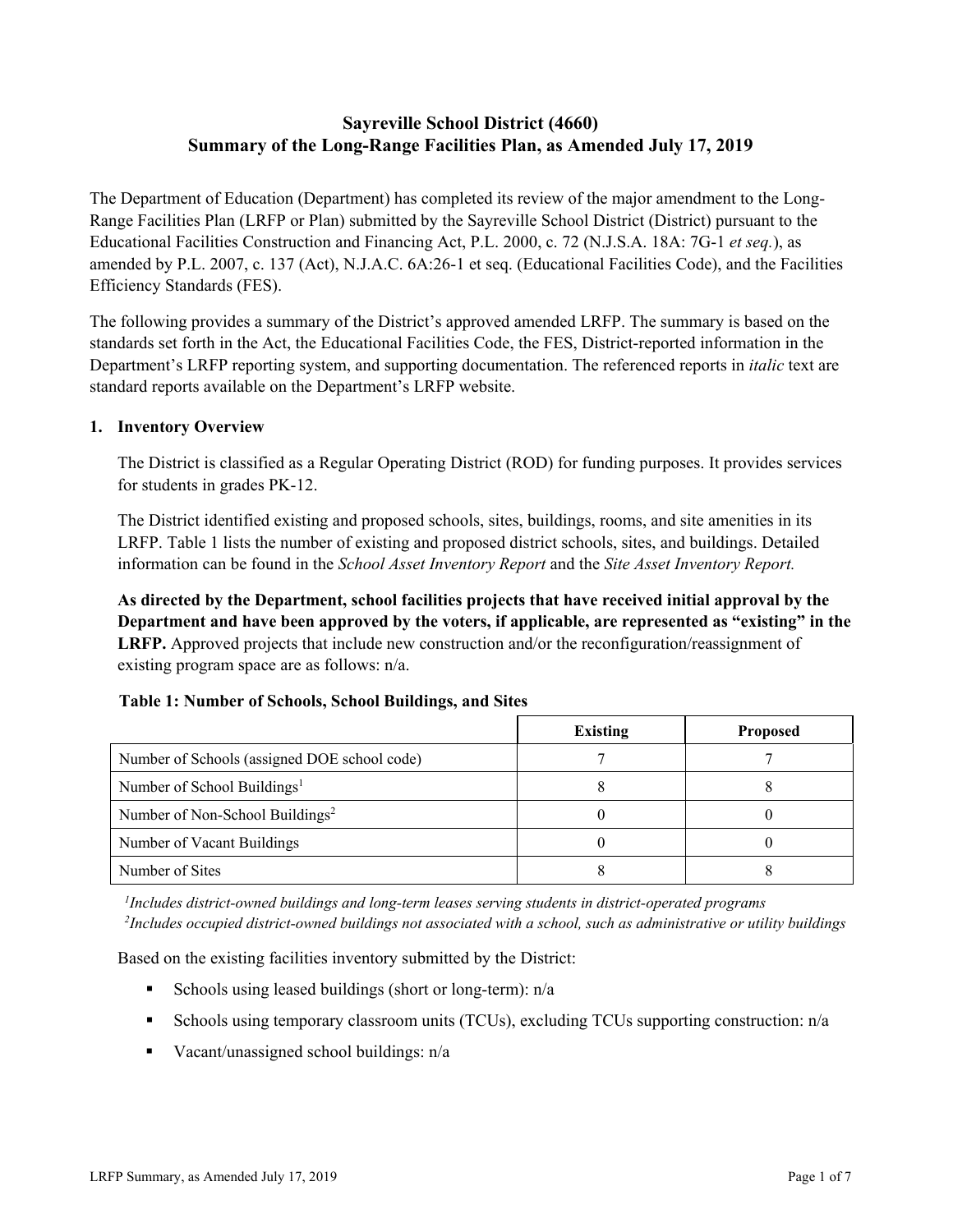# **Sayreville School District (4660) Summary of the Long-Range Facilities Plan, as Amended July 17, 2019**

The Department of Education (Department) has completed its review of the major amendment to the Long-Range Facilities Plan (LRFP or Plan) submitted by the Sayreville School District (District) pursuant to the Educational Facilities Construction and Financing Act, P.L. 2000, c. 72 (N.J.S.A. 18A: 7G-1 *et seq.*), as amended by P.L. 2007, c. 137 (Act), N.J.A.C. 6A:26-1 et seq. (Educational Facilities Code), and the Facilities Efficiency Standards (FES).

The following provides a summary of the District's approved amended LRFP. The summary is based on the standards set forth in the Act, the Educational Facilities Code, the FES, District-reported information in the Department's LRFP reporting system, and supporting documentation. The referenced reports in *italic* text are standard reports available on the Department's LRFP website.

## **1. Inventory Overview**

The District is classified as a Regular Operating District (ROD) for funding purposes. It provides services for students in grades PK-12.

The District identified existing and proposed schools, sites, buildings, rooms, and site amenities in its LRFP. Table 1 lists the number of existing and proposed district schools, sites, and buildings. Detailed information can be found in the *School Asset Inventory Report* and the *Site Asset Inventory Report.*

**As directed by the Department, school facilities projects that have received initial approval by the Department and have been approved by the voters, if applicable, are represented as "existing" in the LRFP.** Approved projects that include new construction and/or the reconfiguration/reassignment of existing program space are as follows: n/a.

# **Table 1: Number of Schools, School Buildings, and Sites**

|                                              | <b>Existing</b> | <b>Proposed</b> |
|----------------------------------------------|-----------------|-----------------|
| Number of Schools (assigned DOE school code) |                 |                 |
| Number of School Buildings <sup>1</sup>      |                 |                 |
| Number of Non-School Buildings <sup>2</sup>  |                 |                 |
| Number of Vacant Buildings                   |                 |                 |
| Number of Sites                              |                 |                 |

*1 Includes district-owned buildings and long-term leases serving students in district-operated programs 2 Includes occupied district-owned buildings not associated with a school, such as administrative or utility buildings*

Based on the existing facilities inventory submitted by the District:

- Schools using leased buildings (short or long-term):  $n/a$
- Schools using temporary classroom units (TCUs), excluding TCUs supporting construction: n/a
- Vacant/unassigned school buildings:  $n/a$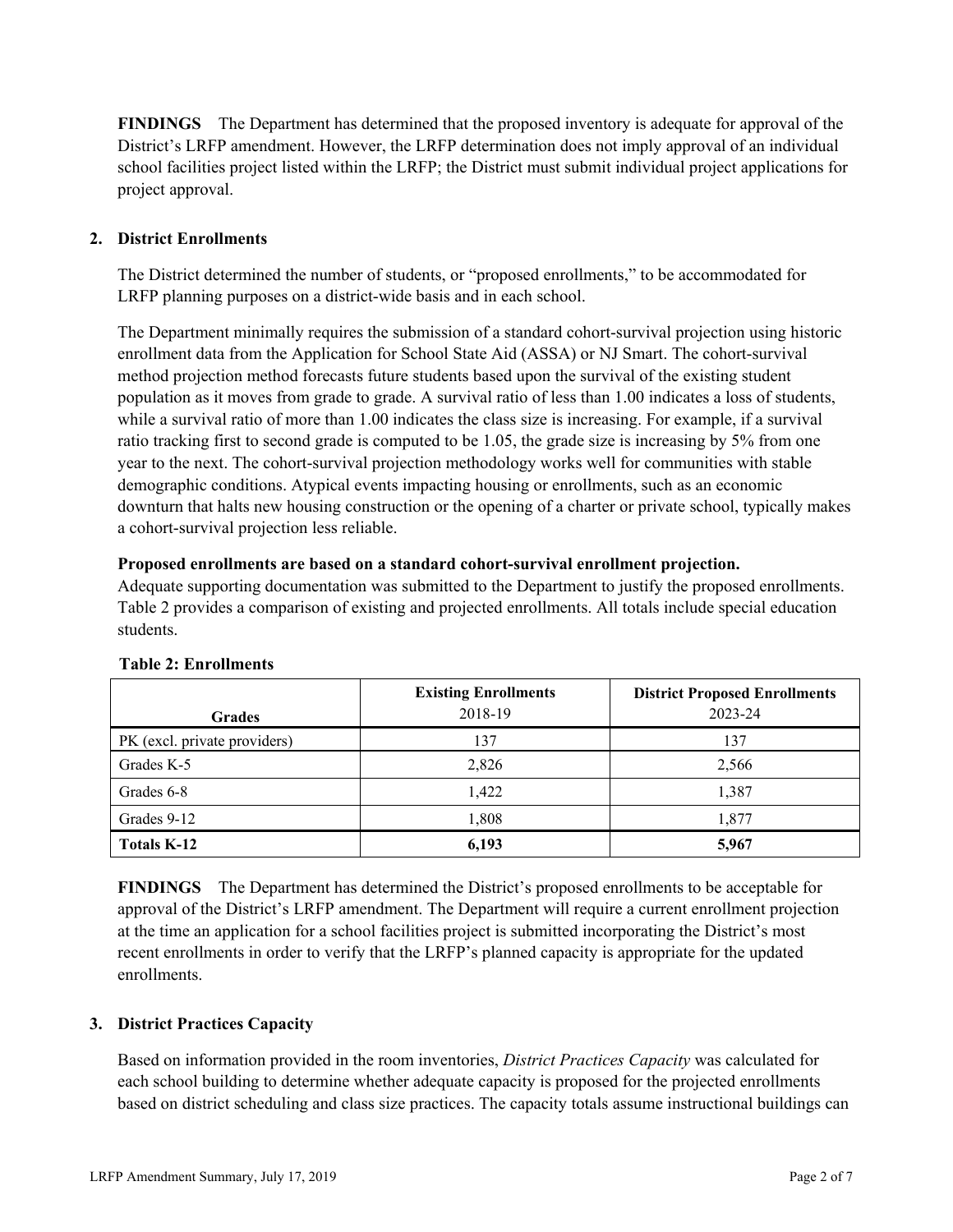**FINDINGS** The Department has determined that the proposed inventory is adequate for approval of the District's LRFP amendment. However, the LRFP determination does not imply approval of an individual school facilities project listed within the LRFP; the District must submit individual project applications for project approval.

# **2. District Enrollments**

The District determined the number of students, or "proposed enrollments," to be accommodated for LRFP planning purposes on a district-wide basis and in each school.

The Department minimally requires the submission of a standard cohort-survival projection using historic enrollment data from the Application for School State Aid (ASSA) or NJ Smart. The cohort-survival method projection method forecasts future students based upon the survival of the existing student population as it moves from grade to grade. A survival ratio of less than 1.00 indicates a loss of students, while a survival ratio of more than 1.00 indicates the class size is increasing. For example, if a survival ratio tracking first to second grade is computed to be 1.05, the grade size is increasing by 5% from one year to the next. The cohort-survival projection methodology works well for communities with stable demographic conditions. Atypical events impacting housing or enrollments, such as an economic downturn that halts new housing construction or the opening of a charter or private school, typically makes a cohort-survival projection less reliable.

#### **Proposed enrollments are based on a standard cohort-survival enrollment projection.**

Adequate supporting documentation was submitted to the Department to justify the proposed enrollments. Table 2 provides a comparison of existing and projected enrollments. All totals include special education students.

|                              | <b>Existing Enrollments</b> | <b>District Proposed Enrollments</b> |
|------------------------------|-----------------------------|--------------------------------------|
| <b>Grades</b>                | 2018-19                     | 2023-24                              |
| PK (excl. private providers) | 137                         | 137                                  |
| Grades K-5                   | 2,826                       | 2,566                                |
| Grades 6-8                   | 1,422                       | 1,387                                |
| Grades 9-12                  | 1,808                       | 1,877                                |
| <b>Totals K-12</b>           | 6,193                       | 5,967                                |

#### **Table 2: Enrollments**

**FINDINGS** The Department has determined the District's proposed enrollments to be acceptable for approval of the District's LRFP amendment. The Department will require a current enrollment projection at the time an application for a school facilities project is submitted incorporating the District's most recent enrollments in order to verify that the LRFP's planned capacity is appropriate for the updated enrollments.

#### **3. District Practices Capacity**

Based on information provided in the room inventories, *District Practices Capacity* was calculated for each school building to determine whether adequate capacity is proposed for the projected enrollments based on district scheduling and class size practices. The capacity totals assume instructional buildings can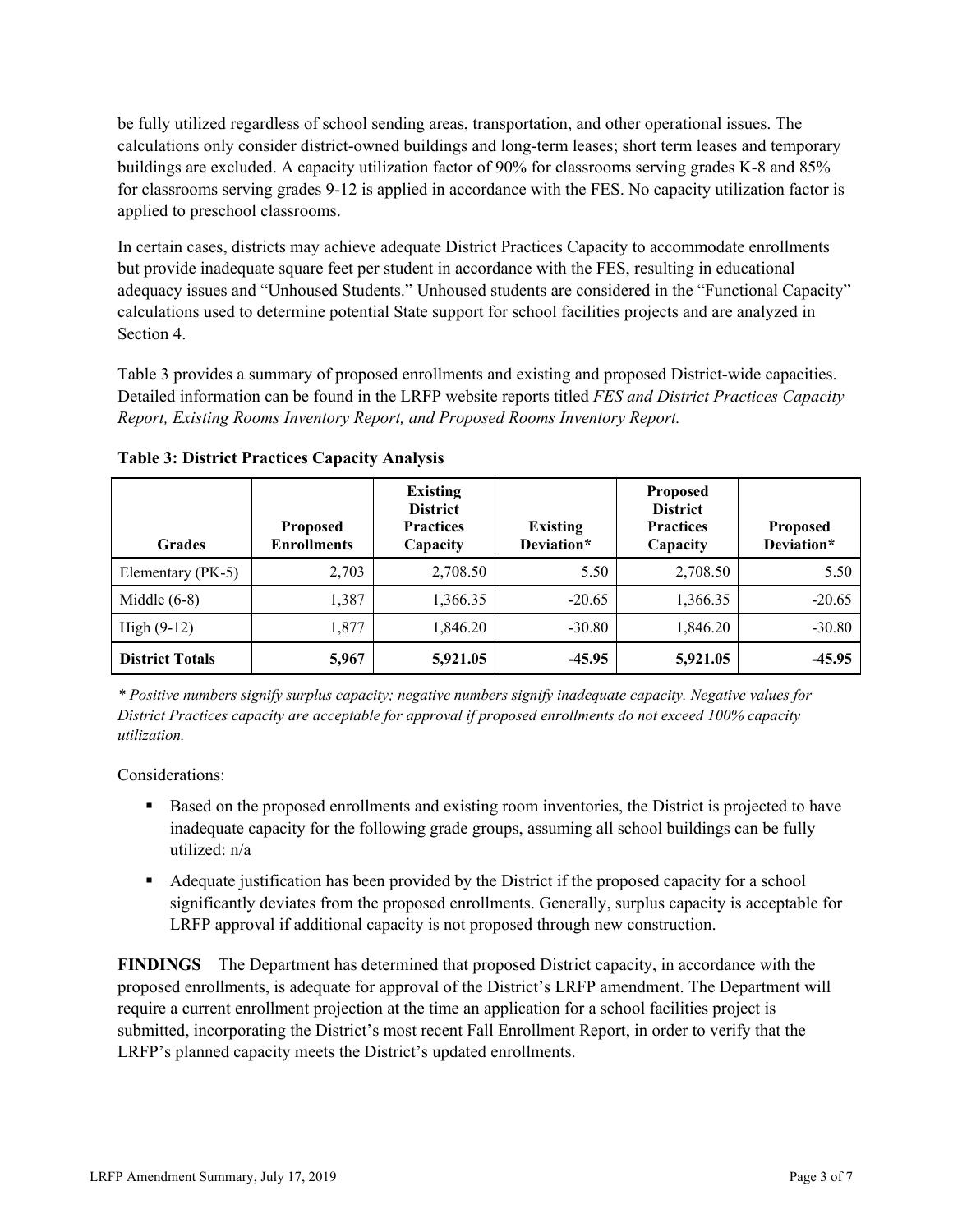be fully utilized regardless of school sending areas, transportation, and other operational issues. The calculations only consider district-owned buildings and long-term leases; short term leases and temporary buildings are excluded. A capacity utilization factor of 90% for classrooms serving grades K-8 and 85% for classrooms serving grades 9-12 is applied in accordance with the FES. No capacity utilization factor is applied to preschool classrooms.

In certain cases, districts may achieve adequate District Practices Capacity to accommodate enrollments but provide inadequate square feet per student in accordance with the FES, resulting in educational adequacy issues and "Unhoused Students." Unhoused students are considered in the "Functional Capacity" calculations used to determine potential State support for school facilities projects and are analyzed in Section 4.

Table 3 provides a summary of proposed enrollments and existing and proposed District-wide capacities. Detailed information can be found in the LRFP website reports titled *FES and District Practices Capacity Report, Existing Rooms Inventory Report, and Proposed Rooms Inventory Report.*

| <b>Grades</b>          | <b>Proposed</b><br><b>Enrollments</b> | <b>Existing</b><br><b>District</b><br><b>Practices</b><br>Capacity | <b>Existing</b><br>Deviation* | <b>Proposed</b><br><b>District</b><br><b>Practices</b><br>Capacity | <b>Proposed</b><br>Deviation* |
|------------------------|---------------------------------------|--------------------------------------------------------------------|-------------------------------|--------------------------------------------------------------------|-------------------------------|
| Elementary (PK-5)      | 2,703                                 | 2,708.50                                                           | 5.50                          | 2,708.50                                                           | 5.50                          |
| Middle $(6-8)$         | 1,387                                 | 1,366.35                                                           | $-20.65$                      | 1,366.35                                                           | $-20.65$                      |
| High $(9-12)$          | 1,877                                 | 1,846.20                                                           | $-30.80$                      | 1,846.20                                                           | $-30.80$                      |
| <b>District Totals</b> | 5,967                                 | 5,921.05                                                           | $-45.95$                      | 5,921.05                                                           | $-45.95$                      |

**Table 3: District Practices Capacity Analysis**

*\* Positive numbers signify surplus capacity; negative numbers signify inadequate capacity. Negative values for District Practices capacity are acceptable for approval if proposed enrollments do not exceed 100% capacity utilization.*

Considerations:

- Based on the proposed enrollments and existing room inventories, the District is projected to have inadequate capacity for the following grade groups, assuming all school buildings can be fully utilized: n/a
- Adequate justification has been provided by the District if the proposed capacity for a school significantly deviates from the proposed enrollments. Generally, surplus capacity is acceptable for LRFP approval if additional capacity is not proposed through new construction.

**FINDINGS**The Department has determined that proposed District capacity, in accordance with the proposed enrollments, is adequate for approval of the District's LRFP amendment. The Department will require a current enrollment projection at the time an application for a school facilities project is submitted, incorporating the District's most recent Fall Enrollment Report, in order to verify that the LRFP's planned capacity meets the District's updated enrollments.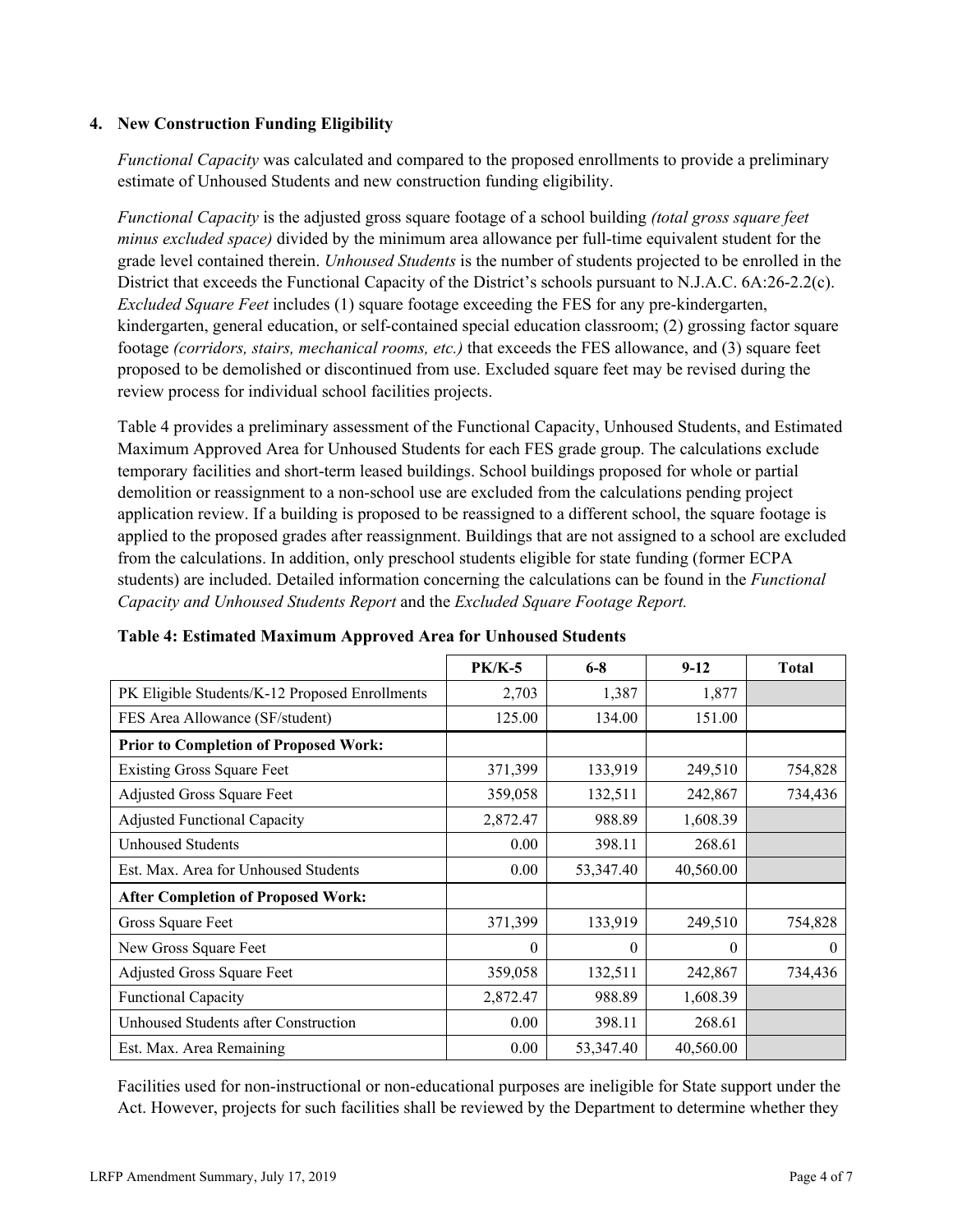## **4. New Construction Funding Eligibility**

*Functional Capacity* was calculated and compared to the proposed enrollments to provide a preliminary estimate of Unhoused Students and new construction funding eligibility.

*Functional Capacity* is the adjusted gross square footage of a school building *(total gross square feet minus excluded space)* divided by the minimum area allowance per full-time equivalent student for the grade level contained therein. *Unhoused Students* is the number of students projected to be enrolled in the District that exceeds the Functional Capacity of the District's schools pursuant to N.J.A.C. 6A:26-2.2(c). *Excluded Square Feet* includes (1) square footage exceeding the FES for any pre-kindergarten, kindergarten, general education, or self-contained special education classroom; (2) grossing factor square footage *(corridors, stairs, mechanical rooms, etc.)* that exceeds the FES allowance, and (3) square feet proposed to be demolished or discontinued from use. Excluded square feet may be revised during the review process for individual school facilities projects.

Table 4 provides a preliminary assessment of the Functional Capacity, Unhoused Students, and Estimated Maximum Approved Area for Unhoused Students for each FES grade group. The calculations exclude temporary facilities and short-term leased buildings. School buildings proposed for whole or partial demolition or reassignment to a non-school use are excluded from the calculations pending project application review. If a building is proposed to be reassigned to a different school, the square footage is applied to the proposed grades after reassignment. Buildings that are not assigned to a school are excluded from the calculations. In addition, only preschool students eligible for state funding (former ECPA students) are included. Detailed information concerning the calculations can be found in the *Functional Capacity and Unhoused Students Report* and the *Excluded Square Footage Report.*

|                                                | <b>PK/K-5</b> | $6 - 8$   | $9-12$    | <b>Total</b> |
|------------------------------------------------|---------------|-----------|-----------|--------------|
| PK Eligible Students/K-12 Proposed Enrollments | 2,703         | 1,387     | 1,877     |              |
| FES Area Allowance (SF/student)                | 125.00        | 134.00    | 151.00    |              |
| <b>Prior to Completion of Proposed Work:</b>   |               |           |           |              |
| <b>Existing Gross Square Feet</b>              | 371,399       | 133,919   | 249,510   | 754,828      |
| Adjusted Gross Square Feet                     | 359,058       | 132,511   | 242,867   | 734,436      |
| <b>Adjusted Functional Capacity</b>            | 2,872.47      | 988.89    | 1,608.39  |              |
| Unhoused Students                              | 0.00          | 398.11    | 268.61    |              |
| Est. Max. Area for Unhoused Students           | 0.00          | 53,347.40 | 40,560.00 |              |
| <b>After Completion of Proposed Work:</b>      |               |           |           |              |
| Gross Square Feet                              | 371,399       | 133,919   | 249,510   | 754,828      |
| New Gross Square Feet                          | $\theta$      | $\theta$  | $\Omega$  | $\theta$     |
| Adjusted Gross Square Feet                     | 359,058       | 132,511   | 242,867   | 734,436      |
| <b>Functional Capacity</b>                     | 2,872.47      | 988.89    | 1,608.39  |              |
| Unhoused Students after Construction           | 0.00          | 398.11    | 268.61    |              |
| Est. Max. Area Remaining                       | 0.00          | 53,347.40 | 40,560.00 |              |

**Table 4: Estimated Maximum Approved Area for Unhoused Students**

Facilities used for non-instructional or non-educational purposes are ineligible for State support under the Act. However, projects for such facilities shall be reviewed by the Department to determine whether they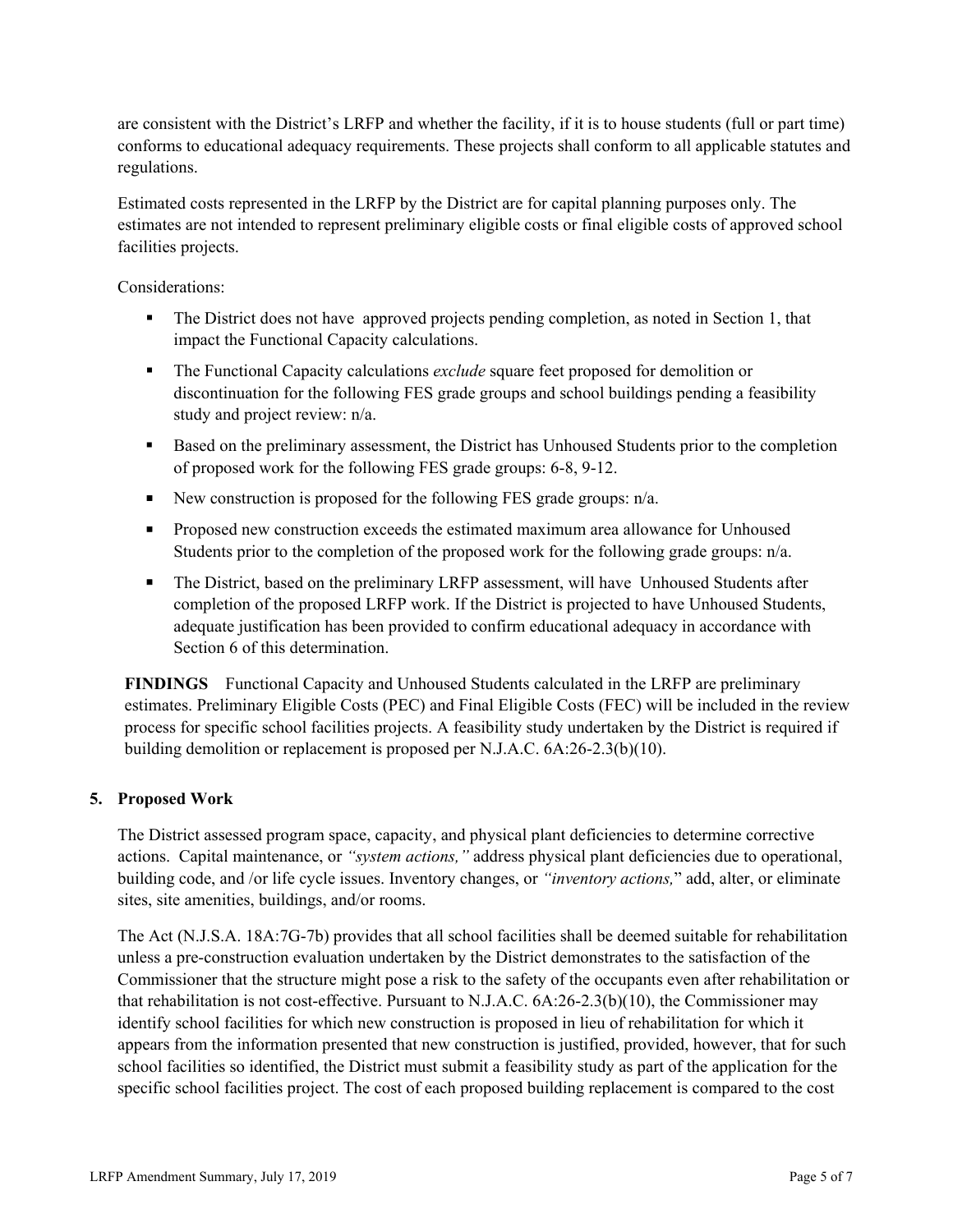are consistent with the District's LRFP and whether the facility, if it is to house students (full or part time) conforms to educational adequacy requirements. These projects shall conform to all applicable statutes and regulations.

Estimated costs represented in the LRFP by the District are for capital planning purposes only. The estimates are not intended to represent preliminary eligible costs or final eligible costs of approved school facilities projects.

Considerations:

- The District does not have approved projects pending completion, as noted in Section 1, that impact the Functional Capacity calculations.
- The Functional Capacity calculations *exclude* square feet proposed for demolition or discontinuation for the following FES grade groups and school buildings pending a feasibility study and project review: n/a.
- Based on the preliminary assessment, the District has Unhoused Students prior to the completion of proposed work for the following FES grade groups: 6-8, 9-12.
- New construction is proposed for the following FES grade groups:  $n/a$ .
- **Proposed new construction exceeds the estimated maximum area allowance for Unhoused** Students prior to the completion of the proposed work for the following grade groups: n/a.
- The District, based on the preliminary LRFP assessment, will have Unhoused Students after completion of the proposed LRFP work. If the District is projected to have Unhoused Students, adequate justification has been provided to confirm educational adequacy in accordance with Section 6 of this determination.

**FINDINGS** Functional Capacity and Unhoused Students calculated in the LRFP are preliminary estimates. Preliminary Eligible Costs (PEC) and Final Eligible Costs (FEC) will be included in the review process for specific school facilities projects. A feasibility study undertaken by the District is required if building demolition or replacement is proposed per N.J.A.C. 6A:26-2.3(b)(10).

#### **5. Proposed Work**

The District assessed program space, capacity, and physical plant deficiencies to determine corrective actions. Capital maintenance, or *"system actions,"* address physical plant deficiencies due to operational, building code, and /or life cycle issues. Inventory changes, or *"inventory actions,*" add, alter, or eliminate sites, site amenities, buildings, and/or rooms.

The Act (N.J.S.A. 18A:7G-7b) provides that all school facilities shall be deemed suitable for rehabilitation unless a pre-construction evaluation undertaken by the District demonstrates to the satisfaction of the Commissioner that the structure might pose a risk to the safety of the occupants even after rehabilitation or that rehabilitation is not cost-effective. Pursuant to N.J.A.C. 6A:26-2.3(b)(10), the Commissioner may identify school facilities for which new construction is proposed in lieu of rehabilitation for which it appears from the information presented that new construction is justified, provided, however, that for such school facilities so identified, the District must submit a feasibility study as part of the application for the specific school facilities project. The cost of each proposed building replacement is compared to the cost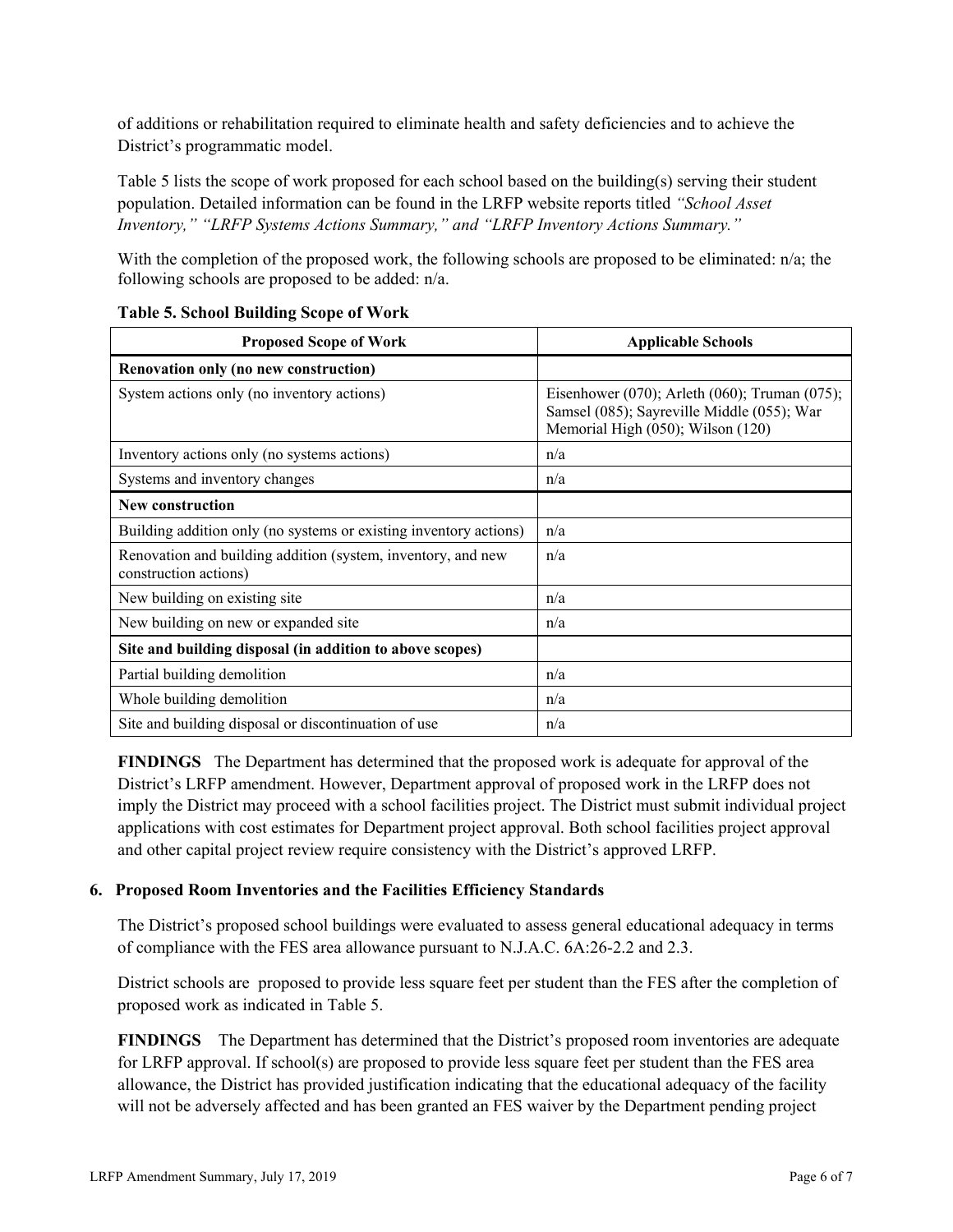of additions or rehabilitation required to eliminate health and safety deficiencies and to achieve the District's programmatic model.

Table 5 lists the scope of work proposed for each school based on the building(s) serving their student population. Detailed information can be found in the LRFP website reports titled *"School Asset Inventory," "LRFP Systems Actions Summary," and "LRFP Inventory Actions Summary."*

With the completion of the proposed work, the following schools are proposed to be eliminated:  $n/a$ ; the following schools are proposed to be added: n/a.

| <b>Proposed Scope of Work</b>                                                         | <b>Applicable Schools</b>                                                                                                        |
|---------------------------------------------------------------------------------------|----------------------------------------------------------------------------------------------------------------------------------|
| Renovation only (no new construction)                                                 |                                                                                                                                  |
| System actions only (no inventory actions)                                            | Eisenhower (070); Arleth (060); Truman (075);<br>Samsel (085); Sayreville Middle (055); War<br>Memorial High (050); Wilson (120) |
| Inventory actions only (no systems actions)                                           | n/a                                                                                                                              |
| Systems and inventory changes                                                         | n/a                                                                                                                              |
| New construction                                                                      |                                                                                                                                  |
| Building addition only (no systems or existing inventory actions)                     | n/a                                                                                                                              |
| Renovation and building addition (system, inventory, and new<br>construction actions) | n/a                                                                                                                              |
| New building on existing site.                                                        | n/a                                                                                                                              |
| New building on new or expanded site                                                  | n/a                                                                                                                              |
| Site and building disposal (in addition to above scopes)                              |                                                                                                                                  |
| Partial building demolition                                                           | n/a                                                                                                                              |
| Whole building demolition                                                             | n/a                                                                                                                              |
| Site and building disposal or discontinuation of use                                  | n/a                                                                                                                              |

### **Table 5. School Building Scope of Work**

**FINDINGS** The Department has determined that the proposed work is adequate for approval of the District's LRFP amendment. However, Department approval of proposed work in the LRFP does not imply the District may proceed with a school facilities project. The District must submit individual project applications with cost estimates for Department project approval. Both school facilities project approval and other capital project review require consistency with the District's approved LRFP.

# **6. Proposed Room Inventories and the Facilities Efficiency Standards**

The District's proposed school buildings were evaluated to assess general educational adequacy in terms of compliance with the FES area allowance pursuant to N.J.A.C. 6A:26-2.2 and 2.3.

District schools are proposed to provide less square feet per student than the FES after the completion of proposed work as indicated in Table 5.

**FINDINGS** The Department has determined that the District's proposed room inventories are adequate for LRFP approval. If school(s) are proposed to provide less square feet per student than the FES area allowance, the District has provided justification indicating that the educational adequacy of the facility will not be adversely affected and has been granted an FES waiver by the Department pending project